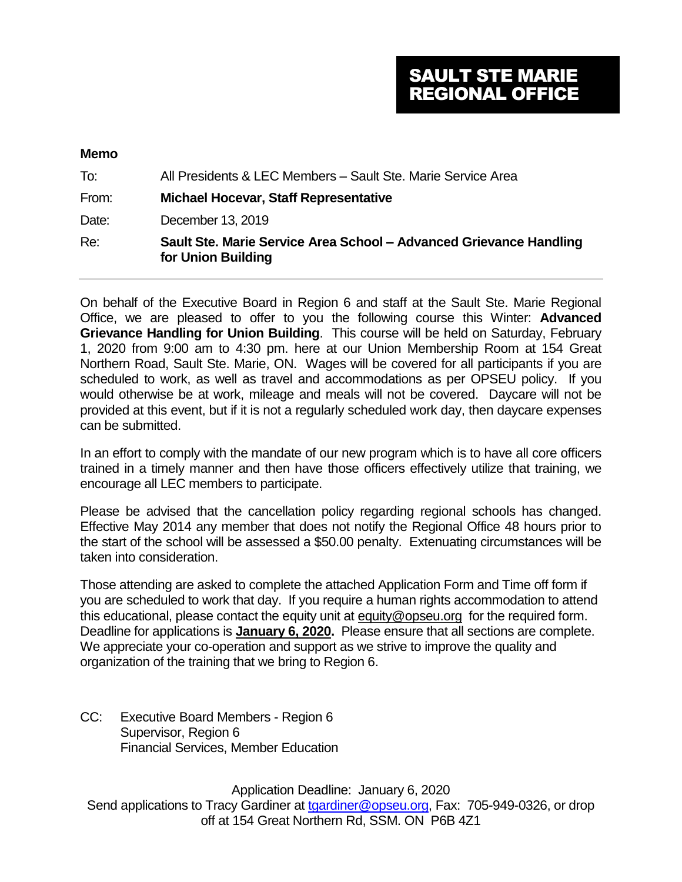# SAULT STE MARIE REGIONAL OFFICE

#### **Memo**

| To:   | All Presidents & LEC Members - Sault Ste. Marie Service Area                             |
|-------|------------------------------------------------------------------------------------------|
| From: | <b>Michael Hocevar, Staff Representative</b>                                             |
| Date: | December 13, 2019                                                                        |
| Re:   | Sault Ste. Marie Service Area School - Advanced Grievance Handling<br>for Union Building |

On behalf of the Executive Board in Region 6 and staff at the Sault Ste. Marie Regional Office, we are pleased to offer to you the following course this Winter: **Advanced Grievance Handling for Union Building**. This course will be held on Saturday, February 1, 2020 from 9:00 am to 4:30 pm. here at our Union Membership Room at 154 Great Northern Road, Sault Ste. Marie, ON. Wages will be covered for all participants if you are scheduled to work, as well as travel and accommodations as per OPSEU policy. If you would otherwise be at work, mileage and meals will not be covered. Daycare will not be provided at this event, but if it is not a regularly scheduled work day, then daycare expenses can be submitted.

In an effort to comply with the mandate of our new program which is to have all core officers trained in a timely manner and then have those officers effectively utilize that training, we encourage all LEC members to participate.

Please be advised that the cancellation policy regarding regional schools has changed. Effective May 2014 any member that does not notify the Regional Office 48 hours prior to the start of the school will be assessed a \$50.00 penalty. Extenuating circumstances will be taken into consideration.

Those attending are asked to complete the attached Application Form and Time off form if you are scheduled to work that day. If you require a human rights accommodation to attend this educational, please contact the equity unit at [equity@opseu.org](mailto:equity@opseu.org) for the required form. Deadline for applications is **January 6, 2020.** Please ensure that all sections are complete. We appreciate your co-operation and support as we strive to improve the quality and organization of the training that we bring to Region 6.

CC: Executive Board Members - Region 6 Supervisor, Region 6 Financial Services, Member Education

Application Deadline: January 6, 2020 Send applications to Tracy Gardiner at [tgardiner@opseu.org,](mailto:tgardiner@opseu.org) Fax: 705-949-0326, or drop off at 154 Great Northern Rd, SSM. ON P6B 4Z1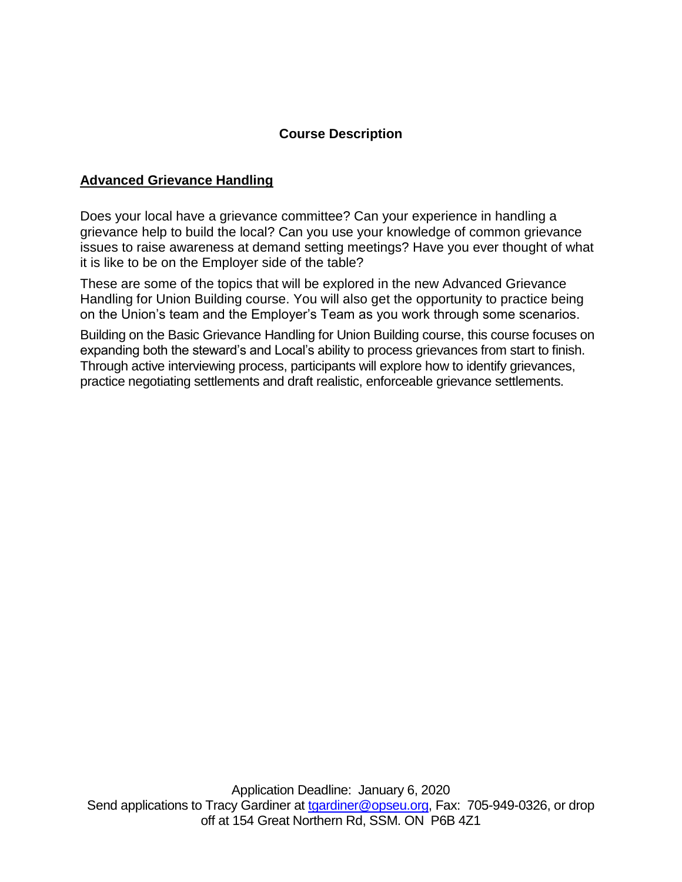### **Course Description**

#### **Advanced Grievance Handling**

Does your local have a grievance committee? Can your experience in handling a grievance help to build the local? Can you use your knowledge of common grievance issues to raise awareness at demand setting meetings? Have you ever thought of what it is like to be on the Employer side of the table?

These are some of the topics that will be explored in the new Advanced Grievance Handling for Union Building course. You will also get the opportunity to practice being on the Union's team and the Employer's Team as you work through some scenarios.

Building on the Basic Grievance Handling for Union Building course, this course focuses on expanding both the steward's and Local's ability to process grievances from start to finish. Through active interviewing process, participants will explore how to identify grievances, practice negotiating settlements and draft realistic, enforceable grievance settlements.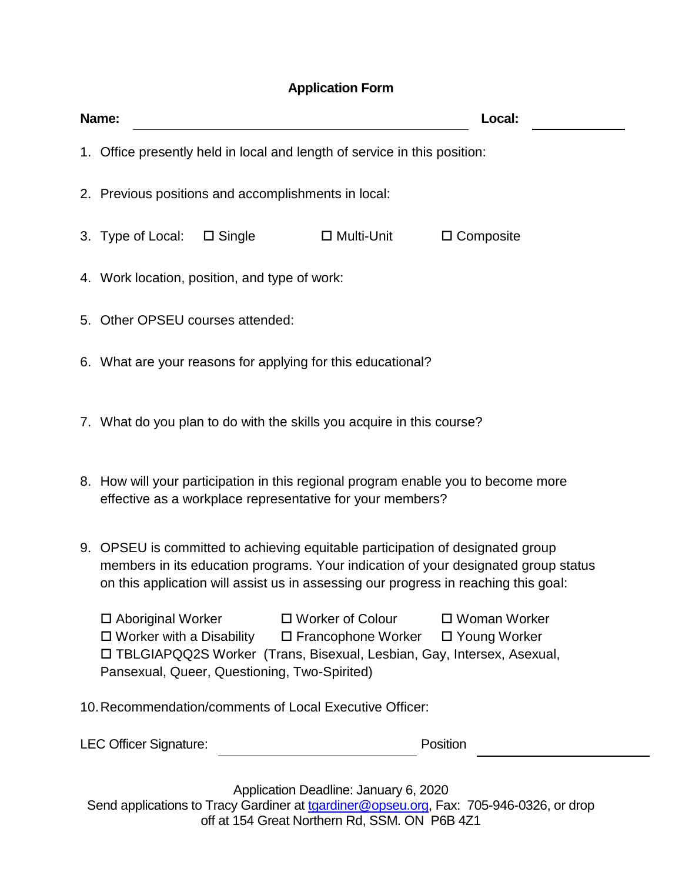# **Application Form**

|                                                         | Name:<br>Local:                                                                                                                                                                                                                                                                          |  |  |
|---------------------------------------------------------|------------------------------------------------------------------------------------------------------------------------------------------------------------------------------------------------------------------------------------------------------------------------------------------|--|--|
|                                                         | 1. Office presently held in local and length of service in this position:                                                                                                                                                                                                                |  |  |
|                                                         | 2. Previous positions and accomplishments in local:                                                                                                                                                                                                                                      |  |  |
|                                                         | 3. Type of Local:<br>$\square$ Single<br>$\Box$ Multi-Unit<br>$\Box$ Composite                                                                                                                                                                                                           |  |  |
|                                                         | 4. Work location, position, and type of work:                                                                                                                                                                                                                                            |  |  |
|                                                         | 5. Other OPSEU courses attended:                                                                                                                                                                                                                                                         |  |  |
|                                                         | 6. What are your reasons for applying for this educational?                                                                                                                                                                                                                              |  |  |
|                                                         | 7. What do you plan to do with the skills you acquire in this course?                                                                                                                                                                                                                    |  |  |
|                                                         | 8. How will your participation in this regional program enable you to become more<br>effective as a workplace representative for your members?                                                                                                                                           |  |  |
|                                                         | 9. OPSEU is committed to achieving equitable participation of designated group<br>members in its education programs. Your indication of your designated group status<br>on this application will assist us in assessing our progress in reaching this goal:                              |  |  |
|                                                         | $\Box$ Woman Worker<br>$\Box$ Aboriginal Worker<br>□ Worker of Colour<br>$\square$ Worker with a Disability<br>$\square$ Francophone Worker<br>□ Young Worker<br>□ TBLGIAPQQ2S Worker (Trans, Bisexual, Lesbian, Gay, Intersex, Asexual,<br>Pansexual, Queer, Questioning, Two-Spirited) |  |  |
| 10. Recommendation/comments of Local Executive Officer: |                                                                                                                                                                                                                                                                                          |  |  |

Application Deadline: January 6, 2020 Send applications to Tracy Gardiner at [tgardiner@opseu.org,](mailto:tgardiner@opseu.org) Fax: 705-946-0326, or drop off at 154 Great Northern Rd, SSM. ON P6B 4Z1

LEC Officer Signature: Position